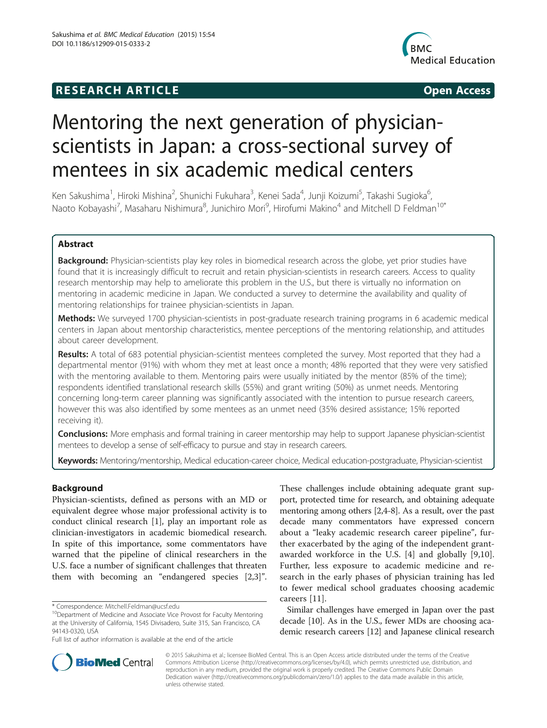# **RESEARCH ARTICLE Example 2014 12:30 The SEAR CHA RTICLE**



# Mentoring the next generation of physicianscientists in Japan: a cross-sectional survey of mentees in six academic medical centers

Ken Sakushima<sup>1</sup>, Hiroki Mishina<sup>2</sup>, Shunichi Fukuhara<sup>3</sup>, Kenei Sada<sup>4</sup>, Junji Koizumi<sup>5</sup>, Takashi Sugioka<sup>6</sup> י<br>, Naoto Kobayashi<sup>7</sup>, Masaharu Nishimura<sup>8</sup>, Junichiro Mori<sup>9</sup>, Hirofumi Makino<sup>4</sup> and Mitchell D Feldman<sup>10\*</sup>

# Abstract

Background: Physician-scientists play key roles in biomedical research across the globe, yet prior studies have found that it is increasingly difficult to recruit and retain physician-scientists in research careers. Access to quality research mentorship may help to ameliorate this problem in the U.S., but there is virtually no information on mentoring in academic medicine in Japan. We conducted a survey to determine the availability and quality of mentoring relationships for trainee physician-scientists in Japan.

Methods: We surveyed 1700 physician-scientists in post-graduate research training programs in 6 academic medical centers in Japan about mentorship characteristics, mentee perceptions of the mentoring relationship, and attitudes about career development.

Results: A total of 683 potential physician-scientist mentees completed the survey. Most reported that they had a departmental mentor (91%) with whom they met at least once a month; 48% reported that they were very satisfied with the mentoring available to them. Mentoring pairs were usually initiated by the mentor (85% of the time); respondents identified translational research skills (55%) and grant writing (50%) as unmet needs. Mentoring concerning long-term career planning was significantly associated with the intention to pursue research careers, however this was also identified by some mentees as an unmet need (35% desired assistance; 15% reported receiving it).

Conclusions: More emphasis and formal training in career mentorship may help to support Japanese physician-scientist mentees to develop a sense of self-efficacy to pursue and stay in research careers.

Keywords: Mentoring/mentorship, Medical education-career choice, Medical education-postgraduate, Physician-scientist

# Background

Physician-scientists, defined as persons with an MD or equivalent degree whose major professional activity is to conduct clinical research [\[1](#page-5-0)], play an important role as clinician-investigators in academic biomedical research. In spite of this importance, some commentators have warned that the pipeline of clinical researchers in the U.S. face a number of significant challenges that threaten them with becoming an "endangered species [[2,3\]](#page-5-0)".

These challenges include obtaining adequate grant support, protected time for research, and obtaining adequate mentoring among others [\[2,4](#page-5-0)-[8](#page-5-0)]. As a result, over the past decade many commentators have expressed concern about a "leaky academic research career pipeline", further exacerbated by the aging of the independent grantawarded workforce in the U.S. [\[4](#page-5-0)] and globally [[9,10](#page-5-0)]. Further, less exposure to academic medicine and research in the early phases of physician training has led to fewer medical school graduates choosing academic careers [\[11](#page-5-0)].

Similar challenges have emerged in Japan over the past decade [[10](#page-5-0)]. As in the U.S., fewer MDs are choosing academic research careers [[12](#page-5-0)] and Japanese clinical research



© 2015 Sakushima et al.; licensee BioMed Central. This is an Open Access article distributed under the terms of the Creative Commons Attribution License [\(http://creativecommons.org/licenses/by/4.0\)](http://creativecommons.org/licenses/by/4.0), which permits unrestricted use, distribution, and reproduction in any medium, provided the original work is properly credited. The Creative Commons Public Domain Dedication waiver [\(http://creativecommons.org/publicdomain/zero/1.0/](http://creativecommons.org/publicdomain/zero/1.0/)) applies to the data made available in this article, unless otherwise stated.

<sup>\*</sup> Correspondence: [Mitchell.Feldman@ucsf.edu](mailto:Mitchell.Feldman@ucsf.edu) 10Department of Medicine and Associate Vice Provost for Faculty Mentoring at the University of California, 1545 Divisadero, Suite 315, San Francisco, CA 94143-0320, USA

Full list of author information is available at the end of the article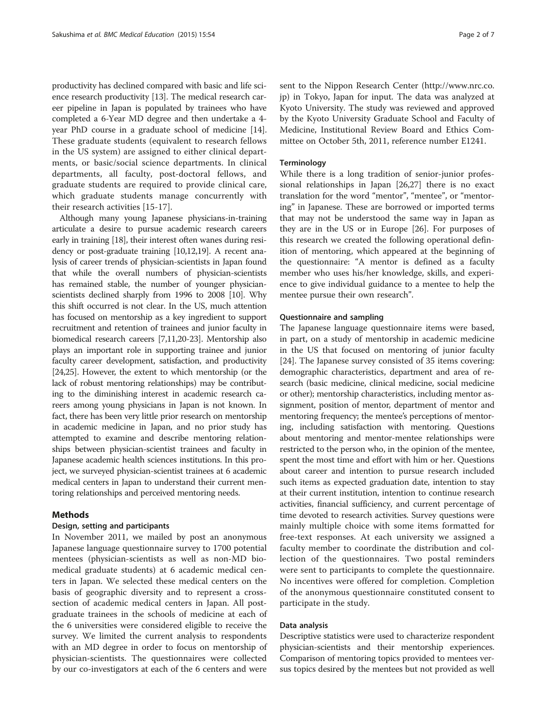productivity has declined compared with basic and life science research productivity [\[13\]](#page-5-0). The medical research career pipeline in Japan is populated by trainees who have completed a 6-Year MD degree and then undertake a 4 year PhD course in a graduate school of medicine [[14](#page-5-0)]. These graduate students (equivalent to research fellows in the US system) are assigned to either clinical departments, or basic/social science departments. In clinical departments, all faculty, post-doctoral fellows, and graduate students are required to provide clinical care, which graduate students manage concurrently with their research activities [[15-17](#page-5-0)].

Although many young Japanese physicians-in-training articulate a desire to pursue academic research careers early in training [[18](#page-5-0)], their interest often wanes during residency or post-graduate training [\[10,12,19\]](#page-5-0). A recent analysis of career trends of physician-scientists in Japan found that while the overall numbers of physician-scientists has remained stable, the number of younger physicianscientists declined sharply from 1996 to 2008 [\[10\]](#page-5-0). Why this shift occurred is not clear. In the US, much attention has focused on mentorship as a key ingredient to support recruitment and retention of trainees and junior faculty in biomedical research careers [\[7,11,20-23\]](#page-5-0). Mentorship also plays an important role in supporting trainee and junior faculty career development, satisfaction, and productivity [[24,25\]](#page-5-0). However, the extent to which mentorship (or the lack of robust mentoring relationships) may be contributing to the diminishing interest in academic research careers among young physicians in Japan is not known. In fact, there has been very little prior research on mentorship in academic medicine in Japan, and no prior study has attempted to examine and describe mentoring relationships between physician-scientist trainees and faculty in Japanese academic health sciences institutions. In this project, we surveyed physician-scientist trainees at 6 academic medical centers in Japan to understand their current mentoring relationships and perceived mentoring needs.

# Methods

### Design, setting and participants

In November 2011, we mailed by post an anonymous Japanese language questionnaire survey to 1700 potential mentees (physician-scientists as well as non-MD biomedical graduate students) at 6 academic medical centers in Japan. We selected these medical centers on the basis of geographic diversity and to represent a crosssection of academic medical centers in Japan. All postgraduate trainees in the schools of medicine at each of the 6 universities were considered eligible to receive the survey. We limited the current analysis to respondents with an MD degree in order to focus on mentorship of physician-scientists. The questionnaires were collected by our co-investigators at each of the 6 centers and were

sent to the Nippon Research Center [\(http://www.nrc.co.](http://www.nrc.co.jp/) [jp](http://www.nrc.co.jp/)) in Tokyo, Japan for input. The data was analyzed at Kyoto University. The study was reviewed and approved by the Kyoto University Graduate School and Faculty of Medicine, Institutional Review Board and Ethics Committee on October 5th, 2011, reference number E1241.

#### **Terminology**

While there is a long tradition of senior-junior professional relationships in Japan [\[26,27](#page-5-0)] there is no exact translation for the word "mentor", "mentee", or "mentoring" in Japanese. These are borrowed or imported terms that may not be understood the same way in Japan as they are in the US or in Europe [[26\]](#page-5-0). For purposes of this research we created the following operational definition of mentoring, which appeared at the beginning of the questionnaire: "A mentor is defined as a faculty member who uses his/her knowledge, skills, and experience to give individual guidance to a mentee to help the mentee pursue their own research".

#### Questionnaire and sampling

The Japanese language questionnaire items were based, in part, on a study of mentorship in academic medicine in the US that focused on mentoring of junior faculty [[24\]](#page-5-0). The Japanese survey consisted of 35 items covering: demographic characteristics, department and area of research (basic medicine, clinical medicine, social medicine or other); mentorship characteristics, including mentor assignment, position of mentor, department of mentor and mentoring frequency; the mentee's perceptions of mentoring, including satisfaction with mentoring. Questions about mentoring and mentor-mentee relationships were restricted to the person who, in the opinion of the mentee, spent the most time and effort with him or her. Questions about career and intention to pursue research included such items as expected graduation date, intention to stay at their current institution, intention to continue research activities, financial sufficiency, and current percentage of time devoted to research activities. Survey questions were mainly multiple choice with some items formatted for free-text responses. At each university we assigned a faculty member to coordinate the distribution and collection of the questionnaires. Two postal reminders were sent to participants to complete the questionnaire. No incentives were offered for completion. Completion of the anonymous questionnaire constituted consent to participate in the study.

#### Data analysis

Descriptive statistics were used to characterize respondent physician-scientists and their mentorship experiences. Comparison of mentoring topics provided to mentees versus topics desired by the mentees but not provided as well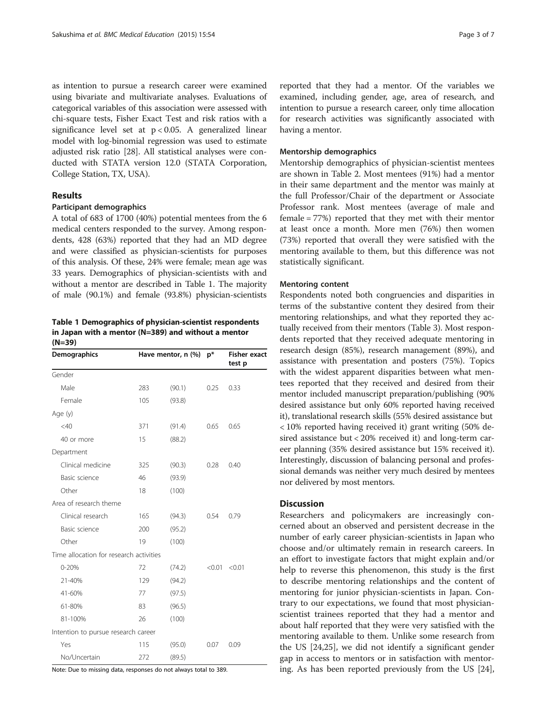<span id="page-2-0"></span>as intention to pursue a research career were examined using bivariate and multivariate analyses. Evaluations of categorical variables of this association were assessed with chi-square tests, Fisher Exact Test and risk ratios with a significance level set at  $p < 0.05$ . A generalized linear model with log-binomial regression was used to estimate adjusted risk ratio [[28](#page-5-0)]. All statistical analyses were conducted with STATA version 12.0 (STATA Corporation, College Station, TX, USA).

#### Results

# Participant demographics

A total of 683 of 1700 (40%) potential mentees from the 6 medical centers responded to the survey. Among respondents, 428 (63%) reported that they had an MD degree and were classified as physician-scientists for purposes of this analysis. Of these, 24% were female; mean age was 33 years. Demographics of physician-scientists with and without a mentor are described in Table 1. The majority of male (90.1%) and female (93.8%) physician-scientists

Table 1 Demographics of physician-scientist respondents in Japan with a mentor (N=389) and without a mentor (N=39)

| Demographics                            |     | Have mentor, n (%) | $p*$   | <b>Fisher exact</b><br>test p |
|-----------------------------------------|-----|--------------------|--------|-------------------------------|
| Gender                                  |     |                    |        |                               |
| Male                                    | 283 | (90.1)             | 0.25   | 0.33                          |
| Female                                  | 105 | (93.8)             |        |                               |
| Age (y)                                 |     |                    |        |                               |
| $<$ 40                                  | 371 | (91.4)             | 0.65   | 0.65                          |
| 40 or more                              | 15  | (88.2)             |        |                               |
| Department                              |     |                    |        |                               |
| Clinical medicine                       | 325 | (90.3)             | 0.28   | 0.40                          |
| Basic science                           | 46  | (93.9)             |        |                               |
| Other                                   | 18  | (100)              |        |                               |
| Area of research theme                  |     |                    |        |                               |
| Clinical research                       | 165 | (94.3)             | 0.54   | 0.79                          |
| Basic science                           | 200 | (95.2)             |        |                               |
| Other                                   | 19  | (100)              |        |                               |
| Time allocation for research activities |     |                    |        |                               |
| $0 - 20%$                               | 72  | (74.2)             | < 0.01 | < 0.01                        |
| 21-40%                                  | 129 | (94.2)             |        |                               |
| 41-60%                                  | 77  | (97.5)             |        |                               |
| 61-80%                                  | 83  | (96.5)             |        |                               |
| 81-100%                                 | 26  | (100)              |        |                               |
| Intention to pursue research career     |     |                    |        |                               |
| Yes                                     | 115 | (95.0)             | 0.07   | 0.09                          |
| No/Uncertain                            | 272 | (89.5)             |        |                               |

Note: Due to missing data, responses do not always total to 389.

reported that they had a mentor. Of the variables we examined, including gender, age, area of research, and intention to pursue a research career, only time allocation for research activities was significantly associated with having a mentor.

#### Mentorship demographics

Mentorship demographics of physician-scientist mentees are shown in Table [2.](#page-3-0) Most mentees (91%) had a mentor in their same department and the mentor was mainly at the full Professor/Chair of the department or Associate Professor rank. Most mentees (average of male and female = 77%) reported that they met with their mentor at least once a month. More men (76%) then women (73%) reported that overall they were satisfied with the mentoring available to them, but this difference was not statistically significant.

#### Mentoring content

Respondents noted both congruencies and disparities in terms of the substantive content they desired from their mentoring relationships, and what they reported they actually received from their mentors (Table [3\)](#page-4-0). Most respondents reported that they received adequate mentoring in research design (85%), research management (89%), and assistance with presentation and posters (75%). Topics with the widest apparent disparities between what mentees reported that they received and desired from their mentor included manuscript preparation/publishing (90% desired assistance but only 60% reported having received it), translational research skills (55% desired assistance but < 10% reported having received it) grant writing (50% desired assistance but < 20% received it) and long-term career planning (35% desired assistance but 15% received it). Interestingly, discussion of balancing personal and professional demands was neither very much desired by mentees nor delivered by most mentors.

# **Discussion**

Researchers and policymakers are increasingly concerned about an observed and persistent decrease in the number of early career physician-scientists in Japan who choose and/or ultimately remain in research careers. In an effort to investigate factors that might explain and/or help to reverse this phenomenon, this study is the first to describe mentoring relationships and the content of mentoring for junior physician-scientists in Japan. Contrary to our expectations, we found that most physicianscientist trainees reported that they had a mentor and about half reported that they were very satisfied with the mentoring available to them. Unlike some research from the US [[24,25\]](#page-5-0), we did not identify a significant gender gap in access to mentors or in satisfaction with mentoring. As has been reported previously from the US [\[24](#page-5-0)],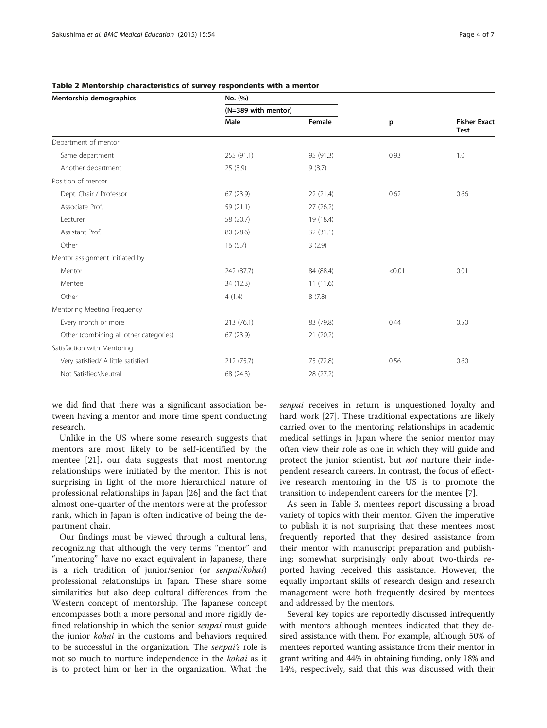| Mentorship demographics                | No. (%)    |                     |        |                                    |
|----------------------------------------|------------|---------------------|--------|------------------------------------|
|                                        |            | (N=389 with mentor) |        |                                    |
|                                        | Male       | Female              | p      | <b>Fisher Exact</b><br><b>Test</b> |
| Department of mentor                   |            |                     |        |                                    |
| Same department                        | 255 (91.1) | 95 (91.3)           | 0.93   | 1.0                                |
| Another department                     | 25 (8.9)   | 9(8.7)              |        |                                    |
| Position of mentor                     |            |                     |        |                                    |
| Dept. Chair / Professor                | 67 (23.9)  | 22 (21.4)           | 0.62   | 0.66                               |
| Associate Prof.                        | 59 (21.1)  | 27(26.2)            |        |                                    |
| Lecturer                               | 58 (20.7)  | 19 (18.4)           |        |                                    |
| Assistant Prof.                        | 80 (28.6)  | 32 (31.1)           |        |                                    |
| Other                                  | 16(5.7)    | 3(2.9)              |        |                                    |
| Mentor assignment initiated by         |            |                     |        |                                    |
| Mentor                                 | 242 (87.7) | 84 (88.4)           | < 0.01 | 0.01                               |
| Mentee                                 | 34 (12.3)  | 11(11.6)            |        |                                    |
| Other                                  | 4(1.4)     | 8(7.8)              |        |                                    |
| Mentoring Meeting Frequency            |            |                     |        |                                    |
| Every month or more                    | 213 (76.1) | 83 (79.8)           | 0.44   | 0.50                               |
| Other (combining all other categories) | 67 (23.9)  | 21(20.2)            |        |                                    |
| Satisfaction with Mentoring            |            |                     |        |                                    |
| Very satisfied/ A little satisfied     | 212 (75.7) | 75 (72.8)           | 0.56   | 0.60                               |
| Not Satisfied\Neutral                  | 68 (24.3)  | 28 (27.2)           |        |                                    |

#### <span id="page-3-0"></span>Table 2 Mentorship characteristics of survey respondents with a mentor

we did find that there was a significant association between having a mentor and more time spent conducting research.

Unlike in the US where some research suggests that mentors are most likely to be self-identified by the mentee [[21\]](#page-5-0), our data suggests that most mentoring relationships were initiated by the mentor. This is not surprising in light of the more hierarchical nature of professional relationships in Japan [[26\]](#page-5-0) and the fact that almost one-quarter of the mentors were at the professor rank, which in Japan is often indicative of being the department chair.

Our findings must be viewed through a cultural lens, recognizing that although the very terms "mentor" and "mentoring" have no exact equivalent in Japanese, there is a rich tradition of junior/senior (or senpai/kohai) professional relationships in Japan. These share some similarities but also deep cultural differences from the Western concept of mentorship. The Japanese concept encompasses both a more personal and more rigidly defined relationship in which the senior *senpai* must guide the junior kohai in the customs and behaviors required to be successful in the organization. The senpai's role is not so much to nurture independence in the kohai as it is to protect him or her in the organization. What the senpai receives in return is unquestioned loyalty and hard work [\[27\]](#page-5-0). These traditional expectations are likely carried over to the mentoring relationships in academic medical settings in Japan where the senior mentor may often view their role as one in which they will guide and protect the junior scientist, but *not* nurture their independent research careers. In contrast, the focus of effective research mentoring in the US is to promote the transition to independent careers for the mentee [\[7\]](#page-5-0).

As seen in Table [3,](#page-4-0) mentees report discussing a broad variety of topics with their mentor. Given the imperative to publish it is not surprising that these mentees most frequently reported that they desired assistance from their mentor with manuscript preparation and publishing; somewhat surprisingly only about two-thirds reported having received this assistance. However, the equally important skills of research design and research management were both frequently desired by mentees and addressed by the mentors.

Several key topics are reportedly discussed infrequently with mentors although mentees indicated that they desired assistance with them. For example, although 50% of mentees reported wanting assistance from their mentor in grant writing and 44% in obtaining funding, only 18% and 14%, respectively, said that this was discussed with their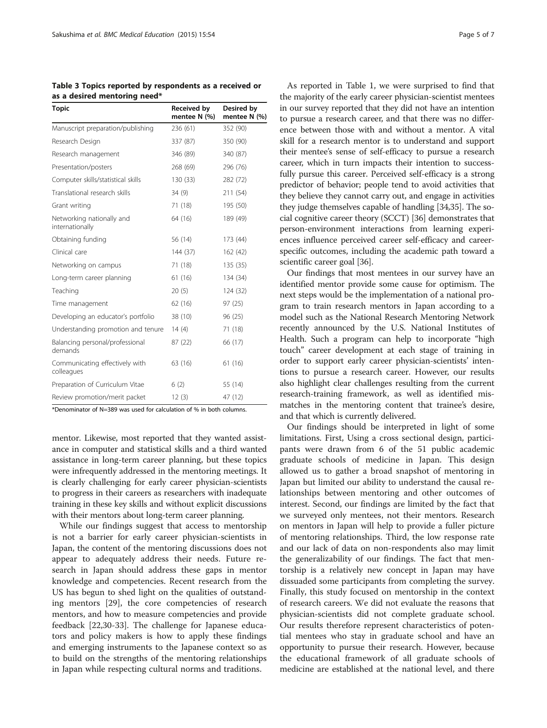<span id="page-4-0"></span>

|                              | Table 3 Topics reported by respondents as a received or |
|------------------------------|---------------------------------------------------------|
| as a desired mentoring need* |                                                         |

| <b>Topic</b>                                 | Received by<br>mentee N (%) | Desired by<br>mentee N (%) |  |
|----------------------------------------------|-----------------------------|----------------------------|--|
| Manuscript preparation/publishing            | 236 (61)                    | 352 (90)                   |  |
| Research Design                              | 337 (87)                    | 350 (90)                   |  |
| Research management                          | 346 (89)                    | 340 (87)                   |  |
| Presentation/posters                         | 268 (69)                    | 296 (76)                   |  |
| Computer skills/statistical skills           | 130(33)                     | 282 (72)                   |  |
| Translational research skills                | 34(9)                       | 211 (54)                   |  |
| Grant writing                                | 71 (18)                     | 195 (50)                   |  |
| Networking nationally and<br>internationally | 64 (16)                     | 189 (49)                   |  |
| Obtaining funding                            | 56 (14)                     | 173 (44)                   |  |
| Clinical care                                | 144 (37)                    | 162 (42)                   |  |
| Networking on campus                         | 71 (18)                     | 135 (35)                   |  |
| Long-term career planning                    | 61 (16)                     | 134 (34)                   |  |
| Teaching                                     | 20(5)                       | 124 (32)                   |  |
| Time management                              | 62 (16)                     | 97 (25)                    |  |
| Developing an educator's portfolio           | 38 (10)                     | 96 (25)                    |  |
| Understanding promotion and tenure           | 14(4)                       | 71 (18)                    |  |
| Balancing personal/professional<br>demands   | 87 (22)                     | 66 (17)                    |  |
| Communicating effectively with<br>colleagues | 63 (16)                     | 61 (16)                    |  |
| Preparation of Curriculum Vitae              | 6(2)                        | 55 (14)                    |  |
| Review promotion/merit packet                | 12(3)                       | 47 (12)                    |  |

\*Denominator of N=389 was used for calculation of % in both columns.

mentor. Likewise, most reported that they wanted assistance in computer and statistical skills and a third wanted assistance in long-term career planning, but these topics were infrequently addressed in the mentoring meetings. It is clearly challenging for early career physician-scientists to progress in their careers as researchers with inadequate training in these key skills and without explicit discussions with their mentors about long-term career planning.

While our findings suggest that access to mentorship is not a barrier for early career physician-scientists in Japan, the content of the mentoring discussions does not appear to adequately address their needs. Future research in Japan should address these gaps in mentor knowledge and competencies. Recent research from the US has begun to shed light on the qualities of outstanding mentors [[29\]](#page-5-0), the core competencies of research mentors, and how to measure competencies and provide feedback [[22,30-33](#page-5-0)]. The challenge for Japanese educators and policy makers is how to apply these findings and emerging instruments to the Japanese context so as to build on the strengths of the mentoring relationships in Japan while respecting cultural norms and traditions.

As reported in Table [1](#page-2-0), we were surprised to find that the majority of the early career physician-scientist mentees in our survey reported that they did not have an intention to pursue a research career, and that there was no difference between those with and without a mentor. A vital skill for a research mentor is to understand and support their mentee's sense of self-efficacy to pursue a research career, which in turn impacts their intention to successfully pursue this career. Perceived self-efficacy is a strong predictor of behavior; people tend to avoid activities that they believe they cannot carry out, and engage in activities they judge themselves capable of handling [[34,35\]](#page-6-0). The social cognitive career theory (SCCT) [\[36\]](#page-6-0) demonstrates that person-environment interactions from learning experiences influence perceived career self-efficacy and careerspecific outcomes, including the academic path toward a scientific career goal [[36](#page-6-0)].

Our findings that most mentees in our survey have an identified mentor provide some cause for optimism. The next steps would be the implementation of a national program to train research mentors in Japan according to a model such as the National Research Mentoring Network recently announced by the U.S. National Institutes of Health. Such a program can help to incorporate "high touch" career development at each stage of training in order to support early career physician-scientists' intentions to pursue a research career. However, our results also highlight clear challenges resulting from the current research-training framework, as well as identified mismatches in the mentoring content that trainee's desire, and that which is currently delivered.

Our findings should be interpreted in light of some limitations. First, Using a cross sectional design, participants were drawn from 6 of the 51 public academic graduate schools of medicine in Japan. This design allowed us to gather a broad snapshot of mentoring in Japan but limited our ability to understand the causal relationships between mentoring and other outcomes of interest. Second, our findings are limited by the fact that we surveyed only mentees, not their mentors. Research on mentors in Japan will help to provide a fuller picture of mentoring relationships. Third, the low response rate and our lack of data on non-respondents also may limit the generalizability of our findings. The fact that mentorship is a relatively new concept in Japan may have dissuaded some participants from completing the survey. Finally, this study focused on mentorship in the context of research careers. We did not evaluate the reasons that physician-scientists did not complete graduate school. Our results therefore represent characteristics of potential mentees who stay in graduate school and have an opportunity to pursue their research. However, because the educational framework of all graduate schools of medicine are established at the national level, and there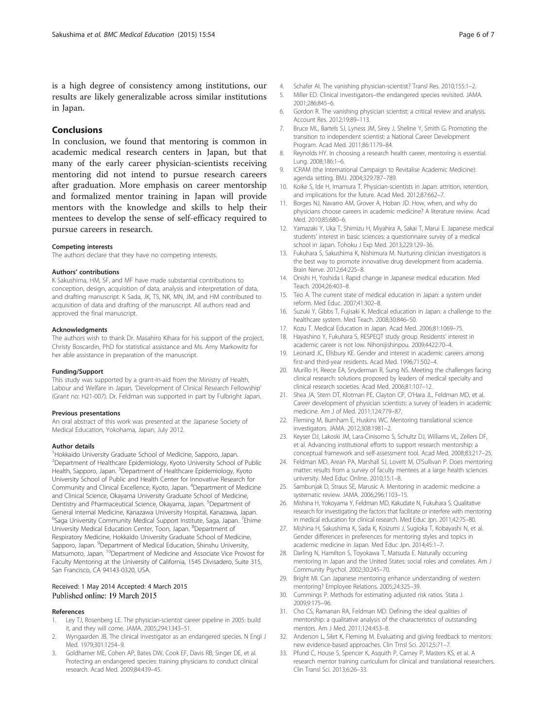### <span id="page-5-0"></span>Conclusions

In conclusion, we found that mentoring is common in academic medical research centers in Japan, but that many of the early career physician-scientists receiving mentoring did not intend to pursue research careers after graduation. More emphasis on career mentorship and formalized mentor training in Japan will provide mentors with the knowledge and skills to help their mentees to develop the sense of self-efficacy required to pursue careers in research.

#### Competing interests

The authors declare that they have no competing interests.

#### Authors' contributions

K Sakushima, HM, SF, and MF have made substantial contributions to conception, design, acquisition of data, analysis and interpretation of data, and drafting manuscript. K Sada, JK, TS, NK, MN, JM, and HM contributed to acquisition of data and drafting of the manuscript. All authors read and approved the final manuscript.

#### **Acknowledaments**

The authors wish to thank Dr. Masahiro Kihara for his support of the project, Christy Boscardin, PhD for statistical assistance and Ms. Amy Markowitz for her able assistance in preparation of the manuscript.

#### Funding/Support

This study was supported by a grant-in-aid from the Ministry of Health, Labour and Welfare in Japan, 'Development of Clinical Research Fellowship' (Grant no: H21-007). Dr. Feldman was supported in part by Fulbright Japan.

#### Previous presentations

An oral abstract of this work was presented at the Japanese Society of Medical Education, Yokohama, Japan, July 2012.

#### Author details

<sup>1</sup>Hokkaido University Graduate School of Medicine, Sapporo, Japan. 2 Department of Healthcare Epidemiology, Kyoto University School of Public Health, Sapporo, Japan. <sup>3</sup>Department of Healthcare Epidemiology, Kyoto University School of Public and Health Center for Innovative Research for Community and Clinical Excellence, Kyoto, Japan. <sup>4</sup>Department of Medicine and Clinical Science, Okayama University Graduate School of Medicine, Dentistry and Pharmaceutical Science, Okayama, Japan. <sup>5</sup>Department of General Internal Medicine, Kanazawa University Hospital, Kanazawa, Japan. <sup>6</sup>Saga University Community Medical Support Institute, Saga, Japan. <sup>7</sup>Ehime University Medical Education Center, Toon, Japan. <sup>8</sup>Department of Respiratory Medicine, Hokkaido University Graduate School of Medicine, Sapporo, Japan. <sup>9</sup>Department of Medical Education, Shinshu University, Matsumoto, Japan. 10Department of Medicine and Associate Vice Provost for Faculty Mentoring at the University of California, 1545 Divisadero, Suite 315, San Francisco, CA 94143-0320, USA.

#### Received: 1 May 2014 Accepted: 4 March 2015 Published online: 19 March 2015

#### References

- Ley TJ, Rosenberg LE. The physician-scientist career pipeline in 2005: build it, and they will come. JAMA. 2005;294:1343–51.
- 2. Wyngaarden JB. The clinical investigator as an endangered species. N Engl J Med. 1979;301:1254–9.
- 3. Goldhamer ME, Cohen AP, Bates DW, Cook EF, Davis RB, Singer DE, et al. Protecting an endangered species: training physicians to conduct clinical research. Acad Med. 2009;84:439–45.
- 4. Schafer AI. The vanishing physician-scientist? Transl Res. 2010;155:1–2.
- 5. Miller ED. Clinical investigators–the endangered species revisited. JAMA. 2001;286:845–6.
- 6. Gordon R. The vanishing physician scientist: a critical review and analysis. Account Res. 2012;19:89–113.
- 7. Bruce ML, Bartels SJ, Lyness JM, Sirey J, Sheline Y, Smith G. Promoting the transition to independent scientist: a National Career Development Program. Acad Med. 2011;86:1179–84.
- 8. Reynolds HY. In choosing a research health career, mentoring is essential. Lung. 2008;186:1–6.
- 9. ICRAM (the International Campaign to Revitalise Academic Medicine): agenda setting. BMJ. 2004;329:787–789.
- 10. Koike S, Ide H, Imamura T. Physician-scientists in Japan: attrition, retention, and implications for the future. Acad Med. 2012;87:662–7.
- 11. Borges NJ, Navarro AM, Grover A, Hoban JD. How, when, and why do physicians choose careers in academic medicine? A literature review. Acad Med. 2010;85:680–6.
- 12. Yamazaki Y, Uka T, Shimizu H, Miyahira A, Sakai T, Marui E. Japanese medical students' interest in basic sciences: a questionnaire survey of a medical school in Japan. Tohoku J Exp Med. 2013;229:129–36.
- 13. Fukuhara S, Sakushima K, Nishimura M. Nurturing clinician investigators is the best way to promote innovative drug development from academia. Brain Nerve. 2012;64:225–8.
- 14. Onishi H, Yoshida I. Rapid change in Japanese medical education. Med Teach. 2004;26:403–8.
- 15. Teo A. The current state of medical education in Japan: a system under reform. Med Educ. 2007;41:302–8.
- 16. Suzuki Y, Gibbs T, Fujisaki K. Medical education in Japan: a challenge to the healthcare system. Med Teach. 2008;30:846–50.
- 17. Kozu T. Medical Education in Japan. Acad Med. 2006;81:1069–75.
- 18. Hayashino Y, Fukuhara S, RESPEQT study group. Residents' interest in academic career is not low. Nihonijishinpou. 2009;4422:70–4.
- 19. Leonard JC, Ellsbury KE. Gender and interest in academic careers among first-and third-year residents. Acad Med. 1996;71:502–4.
- 20. Murillo H, Reece EA, Snyderman R, Sung NS. Meeting the challenges facing clinical research: solutions proposed by leaders of medical specialty and clinical research societies. Acad Med. 2006;81:107–12.
- 21. Shea JA, Stern DT, Klotman PE, Clayton CP, O'Hara JL, Feldman MD, et al. Career development of physician scientists: a survey of leaders in academic medicine. Am J of Med. 2011;124:779–87.
- 22. Fleming M, Burnham E, Huskins WC. Mentoring translational science investigators. JAMA. 2012;308:1981–2.
- 23. Keyser DJ, Lakoski JM, Lara-Cinisomo S, Schultz DJ, Williams VL, Zellers DF, et al. Advancing institutional efforts to support research mentorship: a conceptual framework and self-assessment tool. Acad Med. 2008;83:217–25.
- 24. Feldman MD, Arean PA, Marshall SJ, Lovett M, O'Sullivan P. Does mentoring matter: results from a survey of faculty mentees at a large health sciences university. Med Educ Online. 2010;15:1–8.
- 25. Sambunjak D, Straus SE, Marusic A. Mentoring in academic medicine: a systematic review. JAMA. 2006;296:1103–15.
- 26. Mishina H, Yokoyama Y, Feldman MD, Kakudate N, Fukuhara S. Qualitative research for investigating the factors that facilitate or interfere with mentoring in medical education for clinical research. Med Educ Jpn. 2011;42:75–80.
- 27. Mishina H, Sakushima K, Sada K, Koizumi J, Sugioka T, Kobayashi N, et al. Gender differences in preferences for mentoring styles and topics in academic medicine in Japan. Med Educ Jpn. 2014;45:1–7.
- 28. Darling N, Hamilton S, Toyokawa T, Matsuda E. Naturally occurring mentoring in Japan and the United States: social roles and correlates. Am J Community Psychol. 2002;30:245–70.
- 29. Bright MI. Can Japanese mentoring enhance understanding of western mentoring? Employee Relations. 2005;24:325–39.
- 30. Cummings P. Methods for estimating adjusted risk ratios. Stata J. 2009;9:175–96.
- 31. Cho CS, Ramanan RA, Feldman MD. Defining the ideal qualities of mentorship: a qualitative analysis of the characteristics of outstanding mentors. Am J Med. 2011;124:453–8.
- 32. Anderson L, Silet K, Fleming M. Evaluating and giving feedback to mentors: new evidence-based approaches. Clin Trnsl Sci. 2012;5:71–7.
- 33. Pfund C, House S, Spencer K, Asquith P, Carney P, Masters KS, et al. A research mentor training curriculum for clinical and translational researchers. Clin Transl Sci. 2013;6:26–33.